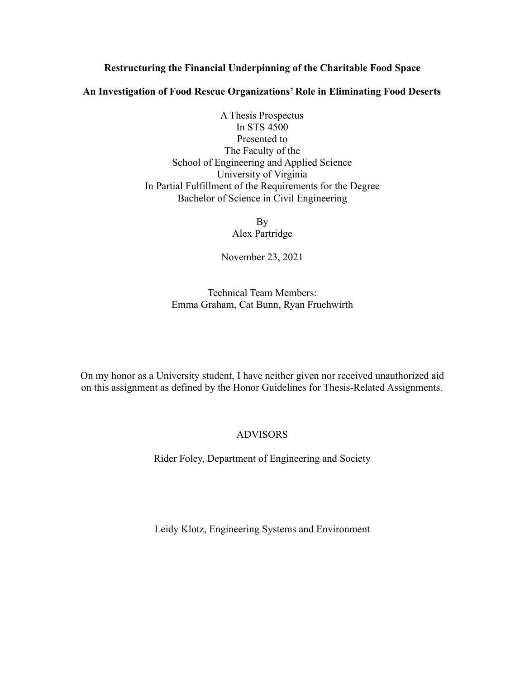### **Restructuring the Financial Underpinning of the Charitable Food Space**

#### **An Investigation of Food Rescue Organizations' Role in Eliminating Food Deserts**

A Thesis Prospectus In STS 4500 Presented to The Faculty of the School of Engineering and Applied Science University of Virginia In Partial Fulfillment of the Requirements for the Degree Bachelor of Science in Civil Engineering

> By Alex Partridge

November 23, 2021

Technical Team Members: Emma Graham, Cat Bunn, Ryan Fruehwirth

On my honor as a University student, I have neither given nor received unauthorized aid on this assignment as defined by the Honor Guidelines for Thesis-Related Assignments.

# ADVISORS

Rider Foley, Department of Engineering and Society

Leidy Klotz, Engineering Systems and Environment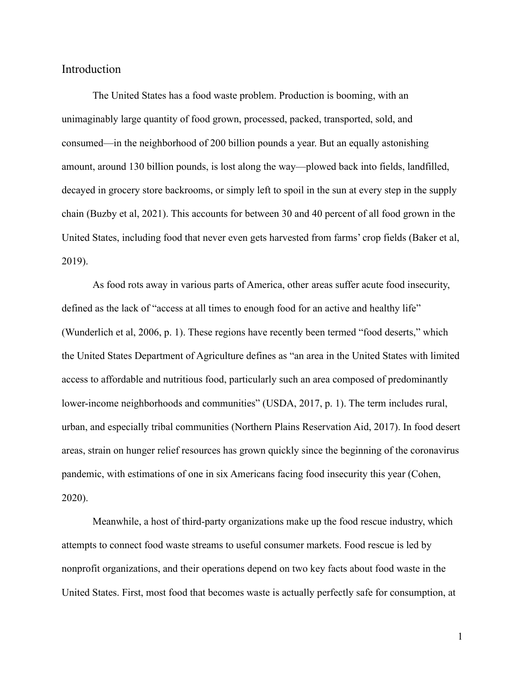Introduction

The United States has a food waste problem. Production is booming, with an unimaginably large quantity of food grown, processed, packed, transported, sold, and consumed—in the neighborhood of 200 billion pounds a year. But an equally astonishing amount, around 130 billion pounds, is lost along the way—plowed back into fields, landfilled, decayed in grocery store backrooms, or simply left to spoil in the sun at every step in the supply chain (Buzby et al, 2021). This accounts for between 30 and 40 percent of all food grown in the United States, including food that never even gets harvested from farms' crop fields (Baker et al, 2019).

As food rots away in various parts of America, other areas suffer acute food insecurity, defined as the lack of "access at all times to enough food for an active and healthy life" (Wunderlich et al, 2006, p. 1). These regions have recently been termed "food deserts," which the United States Department of Agriculture defines as "an area in the United States with limited access to affordable and nutritious food, particularly such an area composed of predominantly lower-income neighborhoods and communities" (USDA, 2017, p. 1). The term includes rural, urban, and especially tribal communities (Northern Plains Reservation Aid, 2017). In food desert areas, strain on hunger relief resources has grown quickly since the beginning of the coronavirus pandemic, with estimations of one in six Americans facing food insecurity this year (Cohen, 2020).

Meanwhile, a host of third-party organizations make up the food rescue industry, which attempts to connect food waste streams to useful consumer markets. Food rescue is led by nonprofit organizations, and their operations depend on two key facts about food waste in the United States. First, most food that becomes waste is actually perfectly safe for consumption, at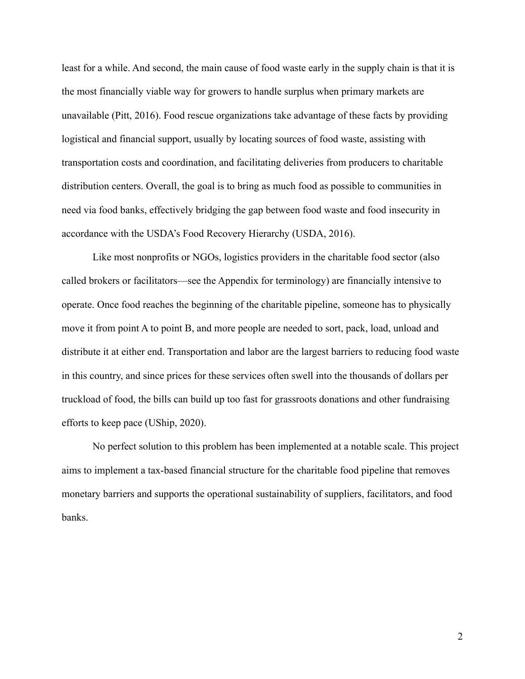least for a while. And second, the main cause of food waste early in the supply chain is that it is the most financially viable way for growers to handle surplus when primary markets are unavailable (Pitt, 2016). Food rescue organizations take advantage of these facts by providing logistical and financial support, usually by locating sources of food waste, assisting with transportation costs and coordination, and facilitating deliveries from producers to charitable distribution centers. Overall, the goal is to bring as much food as possible to communities in need via food banks, effectively bridging the gap between food waste and food insecurity in accordance with the USDA's Food Recovery Hierarchy (USDA, 2016).

Like most nonprofits or NGOs, logistics providers in the charitable food sector (also called brokers or facilitators—see the Appendix for terminology) are financially intensive to operate. Once food reaches the beginning of the charitable pipeline, someone has to physically move it from point A to point B, and more people are needed to sort, pack, load, unload and distribute it at either end. Transportation and labor are the largest barriers to reducing food waste in this country, and since prices for these services often swell into the thousands of dollars per truckload of food, the bills can build up too fast for grassroots donations and other fundraising efforts to keep pace (UShip, 2020).

No perfect solution to this problem has been implemented at a notable scale. This project aims to implement a tax-based financial structure for the charitable food pipeline that removes monetary barriers and supports the operational sustainability of suppliers, facilitators, and food banks.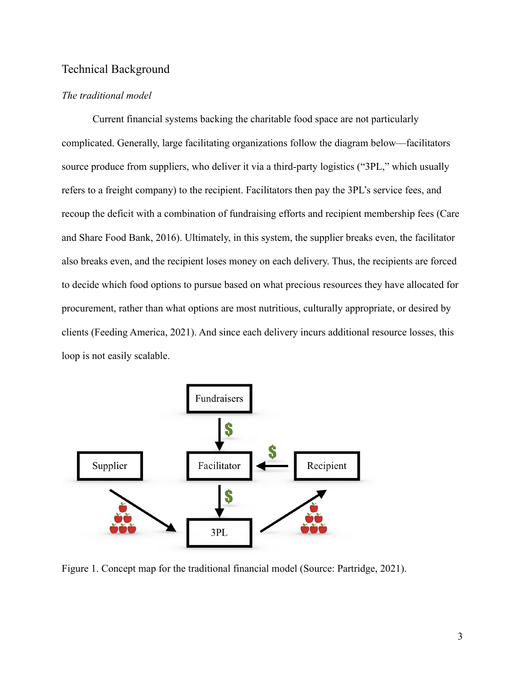# Technical Background

#### *The traditional model*

Current financial systems backing the charitable food space are not particularly complicated. Generally, large facilitating organizations follow the diagram below—facilitators source produce from suppliers, who deliver it via a third-party logistics ("3PL," which usually refers to a freight company) to the recipient. Facilitators then pay the 3PL's service fees, and recoup the deficit with a combination of fundraising efforts and recipient membership fees (Care and Share Food Bank, 2016). Ultimately, in this system, the supplier breaks even, the facilitator also breaks even, and the recipient loses money on each delivery. Thus, the recipients are forced to decide which food options to pursue based on what precious resources they have allocated for procurement, rather than what options are most nutritious, culturally appropriate, or desired by clients (Feeding America, 2021). And since each delivery incurs additional resource losses, this loop is not easily scalable.



Figure 1. Concept map for the traditional financial model (Source: Partridge, 2021).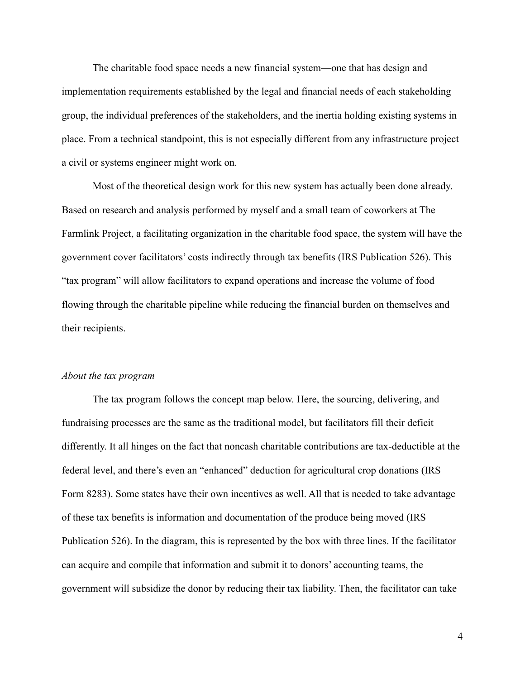The charitable food space needs a new financial system—one that has design and implementation requirements established by the legal and financial needs of each stakeholding group, the individual preferences of the stakeholders, and the inertia holding existing systems in place. From a technical standpoint, this is not especially different from any infrastructure project a civil or systems engineer might work on.

Most of the theoretical design work for this new system has actually been done already. Based on research and analysis performed by myself and a small team of coworkers at The Farmlink Project, a facilitating organization in the charitable food space, the system will have the government cover facilitators' costs indirectly through tax benefits (IRS Publication 526). This "tax program" will allow facilitators to expand operations and increase the volume of food flowing through the charitable pipeline while reducing the financial burden on themselves and their recipients.

#### *About the tax program*

The tax program follows the concept map below. Here, the sourcing, delivering, and fundraising processes are the same as the traditional model, but facilitators fill their deficit differently. It all hinges on the fact that noncash charitable contributions are tax-deductible at the federal level, and there's even an "enhanced" deduction for agricultural crop donations (IRS Form 8283). Some states have their own incentives as well. All that is needed to take advantage of these tax benefits is information and documentation of the produce being moved (IRS Publication 526). In the diagram, this is represented by the box with three lines. If the facilitator can acquire and compile that information and submit it to donors' accounting teams, the government will subsidize the donor by reducing their tax liability. Then, the facilitator can take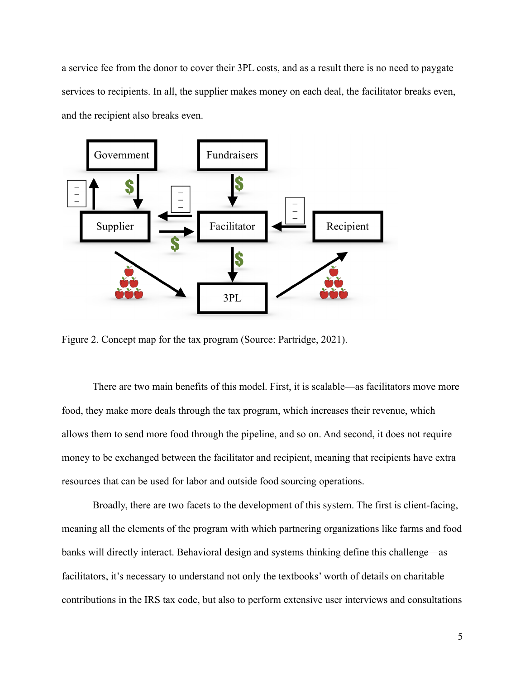a service fee from the donor to cover their 3PL costs, and as a result there is no need to paygate services to recipients. In all, the supplier makes money on each deal, the facilitator breaks even, and the recipient also breaks even.



Figure 2. Concept map for the tax program (Source: Partridge, 2021).

There are two main benefits of this model. First, it is scalable—as facilitators move more food, they make more deals through the tax program, which increases their revenue, which allows them to send more food through the pipeline, and so on. And second, it does not require money to be exchanged between the facilitator and recipient, meaning that recipients have extra resources that can be used for labor and outside food sourcing operations.

Broadly, there are two facets to the development of this system. The first is client-facing, meaning all the elements of the program with which partnering organizations like farms and food banks will directly interact. Behavioral design and systems thinking define this challenge—as facilitators, it's necessary to understand not only the textbooks' worth of details on charitable contributions in the IRS tax code, but also to perform extensive user interviews and consultations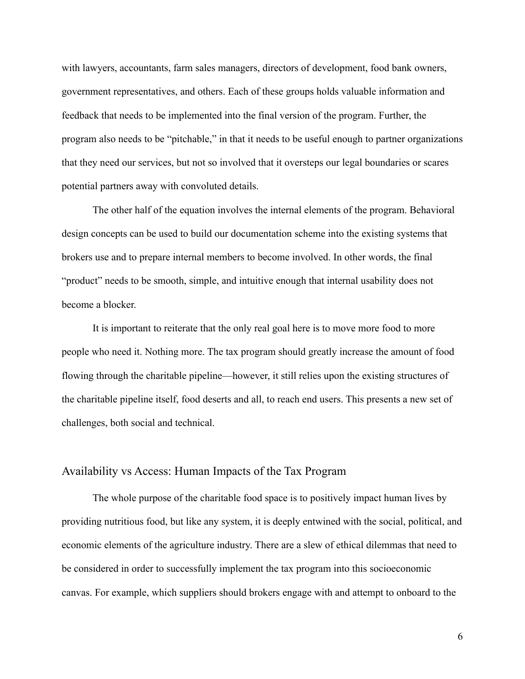with lawyers, accountants, farm sales managers, directors of development, food bank owners, government representatives, and others. Each of these groups holds valuable information and feedback that needs to be implemented into the final version of the program. Further, the program also needs to be "pitchable," in that it needs to be useful enough to partner organizations that they need our services, but not so involved that it oversteps our legal boundaries or scares potential partners away with convoluted details.

The other half of the equation involves the internal elements of the program. Behavioral design concepts can be used to build our documentation scheme into the existing systems that brokers use and to prepare internal members to become involved. In other words, the final "product" needs to be smooth, simple, and intuitive enough that internal usability does not become a blocker.

It is important to reiterate that the only real goal here is to move more food to more people who need it. Nothing more. The tax program should greatly increase the amount of food flowing through the charitable pipeline—however, it still relies upon the existing structures of the charitable pipeline itself, food deserts and all, to reach end users. This presents a new set of challenges, both social and technical.

## Availability vs Access: Human Impacts of the Tax Program

The whole purpose of the charitable food space is to positively impact human lives by providing nutritious food, but like any system, it is deeply entwined with the social, political, and economic elements of the agriculture industry. There are a slew of ethical dilemmas that need to be considered in order to successfully implement the tax program into this socioeconomic canvas. For example, which suppliers should brokers engage with and attempt to onboard to the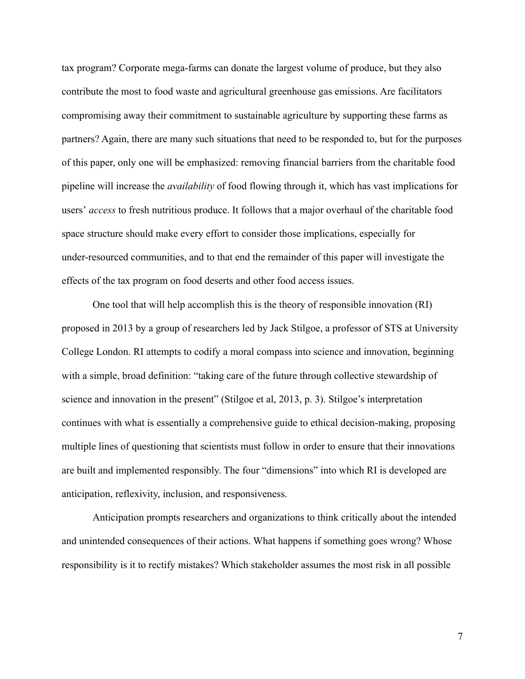tax program? Corporate mega-farms can donate the largest volume of produce, but they also contribute the most to food waste and agricultural greenhouse gas emissions. Are facilitators compromising away their commitment to sustainable agriculture by supporting these farms as partners? Again, there are many such situations that need to be responded to, but for the purposes of this paper, only one will be emphasized: removing financial barriers from the charitable food pipeline will increase the *availability* of food flowing through it, which has vast implications for users' *access* to fresh nutritious produce. It follows that a major overhaul of the charitable food space structure should make every effort to consider those implications, especially for under-resourced communities, and to that end the remainder of this paper will investigate the effects of the tax program on food deserts and other food access issues.

One tool that will help accomplish this is the theory of responsible innovation (RI) proposed in 2013 by a group of researchers led by Jack Stilgoe, a professor of STS at University College London. RI attempts to codify a moral compass into science and innovation, beginning with a simple, broad definition: "taking care of the future through collective stewardship of science and innovation in the present" (Stilgoe et al, 2013, p. 3). Stilgoe's interpretation continues with what is essentially a comprehensive guide to ethical decision-making, proposing multiple lines of questioning that scientists must follow in order to ensure that their innovations are built and implemented responsibly. The four "dimensions" into which RI is developed are anticipation, reflexivity, inclusion, and responsiveness.

Anticipation prompts researchers and organizations to think critically about the intended and unintended consequences of their actions. What happens if something goes wrong? Whose responsibility is it to rectify mistakes? Which stakeholder assumes the most risk in all possible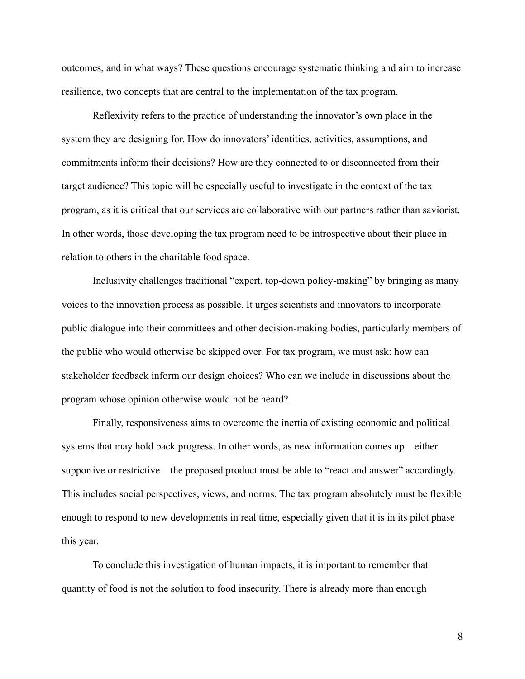outcomes, and in what ways? These questions encourage systematic thinking and aim to increase resilience, two concepts that are central to the implementation of the tax program.

Reflexivity refers to the practice of understanding the innovator's own place in the system they are designing for. How do innovators' identities, activities, assumptions, and commitments inform their decisions? How are they connected to or disconnected from their target audience? This topic will be especially useful to investigate in the context of the tax program, as it is critical that our services are collaborative with our partners rather than saviorist. In other words, those developing the tax program need to be introspective about their place in relation to others in the charitable food space.

Inclusivity challenges traditional "expert, top-down policy-making" by bringing as many voices to the innovation process as possible. It urges scientists and innovators to incorporate public dialogue into their committees and other decision-making bodies, particularly members of the public who would otherwise be skipped over. For tax program, we must ask: how can stakeholder feedback inform our design choices? Who can we include in discussions about the program whose opinion otherwise would not be heard?

Finally, responsiveness aims to overcome the inertia of existing economic and political systems that may hold back progress. In other words, as new information comes up—either supportive or restrictive—the proposed product must be able to "react and answer" accordingly. This includes social perspectives, views, and norms. The tax program absolutely must be flexible enough to respond to new developments in real time, especially given that it is in its pilot phase this year.

To conclude this investigation of human impacts, it is important to remember that quantity of food is not the solution to food insecurity. There is already more than enough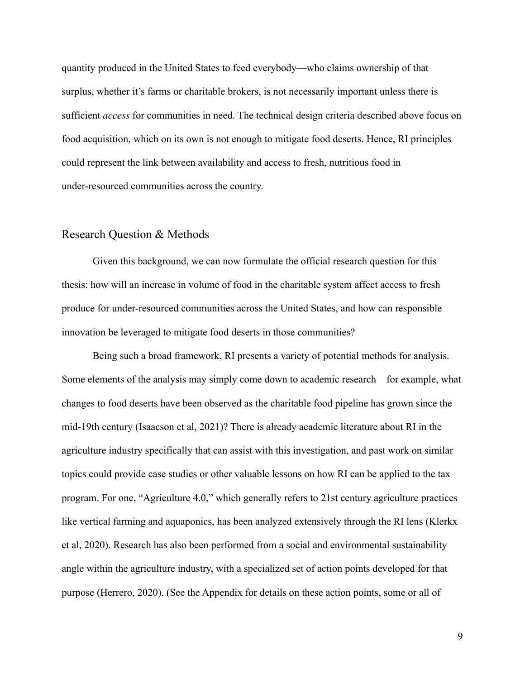quantity produced in the United States to feed everybody—who claims ownership of that surplus, whether it's farms or charitable brokers, is not necessarily important unless there is sufficient *access* for communities in need. The technical design criteria described above focus on food acquisition, which on its own is not enough to mitigate food deserts. Hence, RI principles could represent the link between availability and access to fresh, nutritious food in under-resourced communities across the country.

## Research Question & Methods

Given this background, we can now formulate the official research question for this thesis: how will an increase in volume of food in the charitable system affect access to fresh produce for under-resourced communities across the United States, and how can responsible innovation be leveraged to mitigate food deserts in those communities?

Being such a broad framework, RI presents a variety of potential methods for analysis. Some elements of the analysis may simply come down to academic research—for example, what changes to food deserts have been observed as the charitable food pipeline has grown since the mid-19th century (Isaacson et al, 2021)? There is already academic literature about RI in the agriculture industry specifically that can assist with this investigation, and past work on similar topics could provide case studies or other valuable lessons on how RI can be applied to the tax program. For one, "Agriculture 4.0," which generally refers to 21st century agriculture practices like vertical farming and aquaponics, has been analyzed extensively through the RI lens (Klerkx et al, 2020). Research has also been performed from a social and environmental sustainability angle within the agriculture industry, with a specialized set of action points developed for that purpose (Herrero, 2020). (See the Appendix for details on these action points, some or all of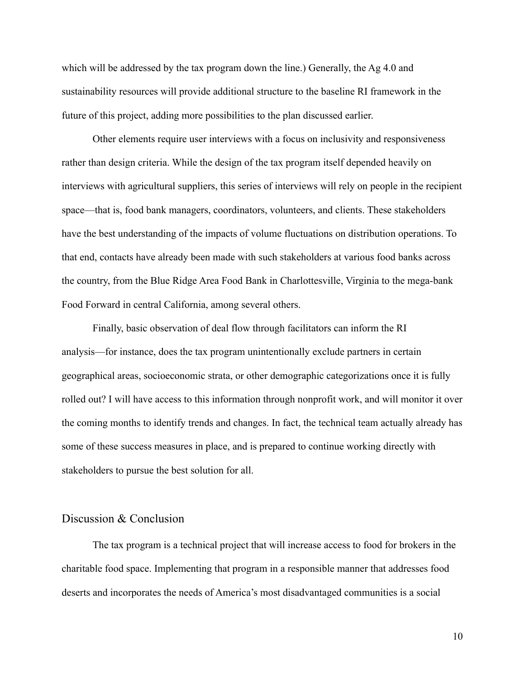which will be addressed by the tax program down the line.) Generally, the Ag 4.0 and sustainability resources will provide additional structure to the baseline RI framework in the future of this project, adding more possibilities to the plan discussed earlier.

Other elements require user interviews with a focus on inclusivity and responsiveness rather than design criteria. While the design of the tax program itself depended heavily on interviews with agricultural suppliers, this series of interviews will rely on people in the recipient space—that is, food bank managers, coordinators, volunteers, and clients. These stakeholders have the best understanding of the impacts of volume fluctuations on distribution operations. To that end, contacts have already been made with such stakeholders at various food banks across the country, from the Blue Ridge Area Food Bank in Charlottesville, Virginia to the mega-bank Food Forward in central California, among several others.

Finally, basic observation of deal flow through facilitators can inform the RI analysis—for instance, does the tax program unintentionally exclude partners in certain geographical areas, socioeconomic strata, or other demographic categorizations once it is fully rolled out? I will have access to this information through nonprofit work, and will monitor it over the coming months to identify trends and changes. In fact, the technical team actually already has some of these success measures in place, and is prepared to continue working directly with stakeholders to pursue the best solution for all.

#### Discussion & Conclusion

The tax program is a technical project that will increase access to food for brokers in the charitable food space. Implementing that program in a responsible manner that addresses food deserts and incorporates the needs of America's most disadvantaged communities is a social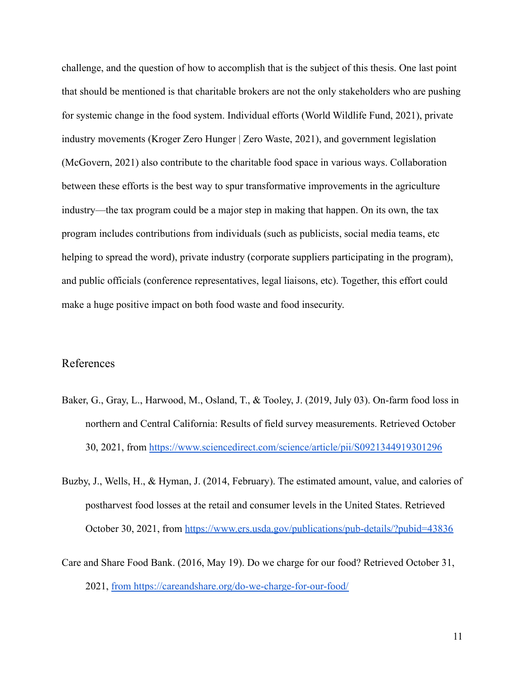challenge, and the question of how to accomplish that is the subject of this thesis. One last point that should be mentioned is that charitable brokers are not the only stakeholders who are pushing for systemic change in the food system. Individual efforts (World Wildlife Fund, 2021), private industry movements (Kroger Zero Hunger | Zero Waste, 2021), and government legislation (McGovern, 2021) also contribute to the charitable food space in various ways. Collaboration between these efforts is the best way to spur transformative improvements in the agriculture industry—the tax program could be a major step in making that happen. On its own, the tax program includes contributions from individuals (such as publicists, social media teams, etc helping to spread the word), private industry (corporate suppliers participating in the program), and public officials (conference representatives, legal liaisons, etc). Together, this effort could make a huge positive impact on both food waste and food insecurity.

## References

- Baker, G., Gray, L., Harwood, M., Osland, T., & Tooley, J. (2019, July 03). On-farm food loss in northern and Central California: Results of field survey measurements. Retrieved October 30, 2021, from <https://www.sciencedirect.com/science/article/pii/S0921344919301296>
- Buzby, J., Wells, H., & Hyman, J. (2014, February). The estimated amount, value, and calories of postharvest food losses at the retail and consumer levels in the United States. Retrieved October 30, 2021, from <https://www.ers.usda.gov/publications/pub-details/?pubid=43836>
- Care and Share Food Bank. (2016, May 19). Do we charge for our food? Retrieved October 31, 2021, [from https://careandshare.org/do-we-charge-for-our-food/](https://careandshare.org/do-we-charge-for-our-food/)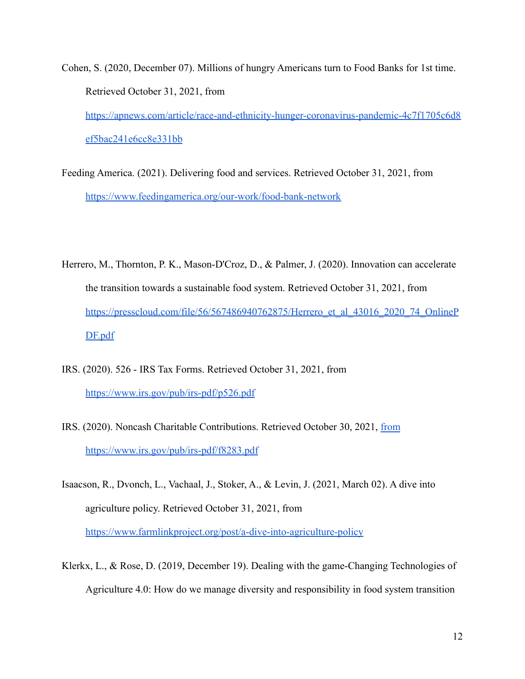- Cohen, S. (2020, December 07). Millions of hungry Americans turn to Food Banks for 1st time. Retrieved October 31, 2021, from [https://apnews.com/article/race-and-ethnicity-hunger-coronavirus-pandemic-4c7f1705c6d8](https://apnews.com/article/race-and-ethnicity-hunger-coronavirus-pandemic-4c7f1705c6d8ef5bac241e6cc8e331bb) [ef5bac241e6cc8e331bb](https://apnews.com/article/race-and-ethnicity-hunger-coronavirus-pandemic-4c7f1705c6d8ef5bac241e6cc8e331bb)
- Feeding America. (2021). Delivering food and services. Retrieved October 31, 2021, from <https://www.feedingamerica.org/our-work/food-bank-network>
- Herrero, M., Thornton, P. K., Mason-D'Croz, D., & Palmer, J. (2020). Innovation can accelerate the transition towards a sustainable food system. Retrieved October 31, 2021, from [https://presscloud.com/file/56/567486940762875/Herrero\\_et\\_al\\_43016\\_2020\\_74\\_OnlineP](https://presscloud.com/file/56/567486940762875/Herrero_et_al_43016_2020_74_OnlinePDF.pdf) [DF.pdf](https://presscloud.com/file/56/567486940762875/Herrero_et_al_43016_2020_74_OnlinePDF.pdf)
- IRS. (2020). 526 IRS Tax Forms. Retrieved October 31, 2021, from <https://www.irs.gov/pub/irs-pdf/p526.pdf>
- IRS. (2020). Noncash Charitable Contributions. Retrieved October 30, 2021, [from](https://www.irs.gov/pub/irs-pdf/f8283.pdf) <https://www.irs.gov/pub/irs-pdf/f8283.pdf>
- Isaacson, R., Dvonch, L., Vachaal, J., Stoker, A., & Levin, J. (2021, March 02). A dive into agriculture policy. Retrieved October 31, 2021, from <https://www.farmlinkproject.org/post/a-dive-into-agriculture-policy>
- Klerkx, L., & Rose, D. (2019, December 19). Dealing with the game-Changing Technologies of Agriculture 4.0: How do we manage diversity and responsibility in food system transition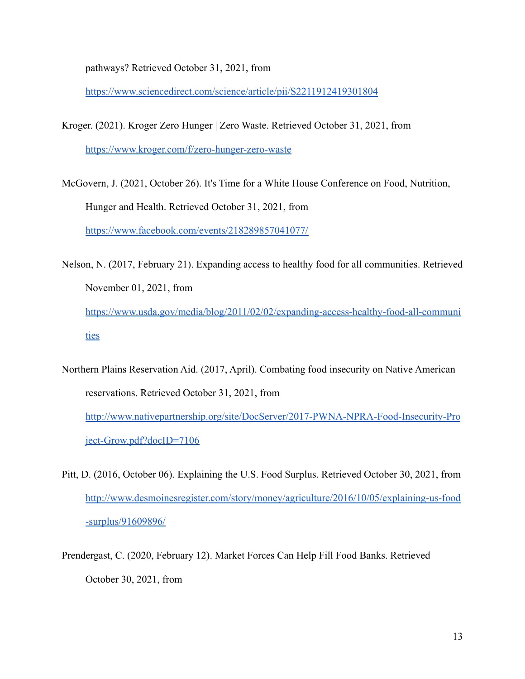pathways? Retrieved October 31, 2021, from

<https://www.sciencedirect.com/science/article/pii/S2211912419301804>

- Kroger. (2021). Kroger Zero Hunger | Zero Waste. Retrieved October 31, 2021, from <https://www.kroger.com/f/zero-hunger-zero-waste>
- McGovern, J. (2021, October 26). It's Time for a White House Conference on Food, Nutrition, Hunger and Health. Retrieved October 31, 2021, from <https://www.facebook.com/events/218289857041077/>
- Nelson, N. (2017, February 21). Expanding access to healthy food for all communities. Retrieved November 01, 2021, from [https://www.usda.gov/media/blog/2011/02/02/expanding-access-healthy-food-all-communi](https://www.usda.gov/media/blog/2011/02/02/expanding-access-healthy-food-all-communities) [ties](https://www.usda.gov/media/blog/2011/02/02/expanding-access-healthy-food-all-communities)
- Northern Plains Reservation Aid. (2017, April). Combating food insecurity on Native American reservations. Retrieved October 31, 2021, from [http://www.nativepartnership.org/site/DocServer/2017-PWNA-NPRA-Food-Insecurity-Pro](http://www.nativepartnership.org/site/DocServer/2017-PWNA-NPRA-Food-Insecurity-Project-Grow.pdf?docID=7106) [ject-Grow.pdf?docID=7106](http://www.nativepartnership.org/site/DocServer/2017-PWNA-NPRA-Food-Insecurity-Project-Grow.pdf?docID=7106)
- Pitt, D. (2016, October 06). Explaining the U.S. Food Surplus. Retrieved October 30, 2021, from [http://www.desmoinesregister.com/story/money/agriculture/2016/10/05/explaining-us-food](http://www.desmoinesregister.com/story/money/agriculture/2016/10/05/explaining-us-food-surplus/91609896/) [-surplus/91609896/](http://www.desmoinesregister.com/story/money/agriculture/2016/10/05/explaining-us-food-surplus/91609896/)
- Prendergast, C. (2020, February 12). Market Forces Can Help Fill Food Banks. Retrieved October 30, 2021, from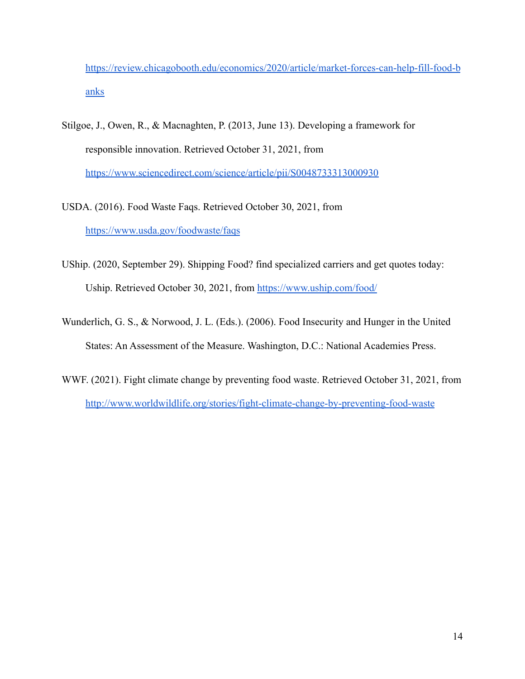[https://review.chicagobooth.edu/economics/2020/article/market-forces-can-help-fill-food-b](https://review.chicagobooth.edu/economics/2020/article/market-forces-can-help-fill-food-banks) [anks](https://review.chicagobooth.edu/economics/2020/article/market-forces-can-help-fill-food-banks)

- Stilgoe, J., Owen, R., & Macnaghten, P. (2013, June 13). Developing a framework for responsible innovation. Retrieved October 31, 2021, from <https://www.sciencedirect.com/science/article/pii/S0048733313000930>
- USDA. (2016). Food Waste Faqs. Retrieved October 30, 2021, from <https://www.usda.gov/foodwaste/faqs>
- UShip. (2020, September 29). Shipping Food? find specialized carriers and get quotes today: Uship. Retrieved October 30, 2021, from <https://www.uship.com/food/>
- Wunderlich, G. S., & Norwood, J. L. (Eds.). (2006). Food Insecurity and Hunger in the United States: An Assessment of the Measure. Washington, D.C.: National Academies Press.
- WWF. (2021). Fight climate change by preventing food waste. Retrieved October 31, 2021, from <http://www.worldwildlife.org/stories/fight-climate-change-by-preventing-food-waste>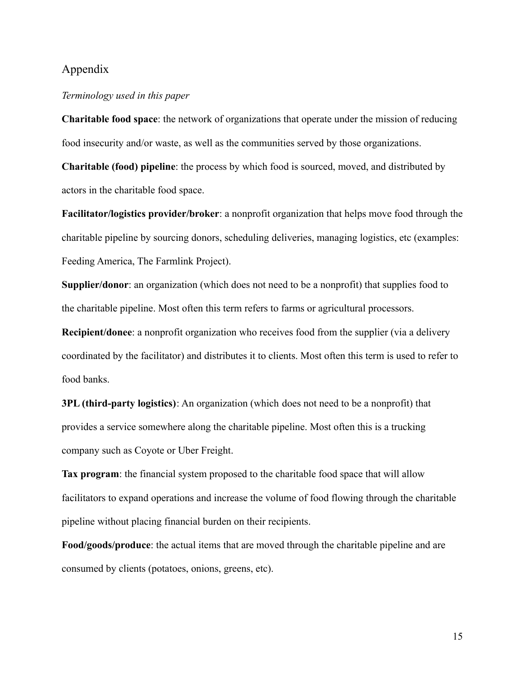## Appendix

#### *Terminology used in this paper*

**Charitable food space**: the network of organizations that operate under the mission of reducing food insecurity and/or waste, as well as the communities served by those organizations.

**Charitable (food) pipeline**: the process by which food is sourced, moved, and distributed by actors in the charitable food space.

**Facilitator/logistics provider/broker**: a nonprofit organization that helps move food through the charitable pipeline by sourcing donors, scheduling deliveries, managing logistics, etc (examples: Feeding America, The Farmlink Project).

**Supplier/donor**: an organization (which does not need to be a nonprofit) that supplies food to the charitable pipeline. Most often this term refers to farms or agricultural processors.

**Recipient/donee**: a nonprofit organization who receives food from the supplier (via a delivery coordinated by the facilitator) and distributes it to clients. Most often this term is used to refer to food banks.

**3PL (third-party logistics)**: An organization (which does not need to be a nonprofit) that provides a service somewhere along the charitable pipeline. Most often this is a trucking company such as Coyote or Uber Freight.

**Tax program**: the financial system proposed to the charitable food space that will allow facilitators to expand operations and increase the volume of food flowing through the charitable pipeline without placing financial burden on their recipients.

**Food/goods/produce**: the actual items that are moved through the charitable pipeline and are consumed by clients (potatoes, onions, greens, etc).